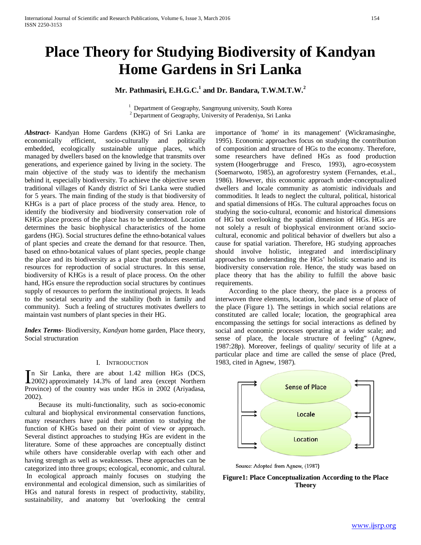# **Place Theory for Studying Biodiversity of Kandyan Home Gardens in Sri Lanka**

# **Mr. Pathmasiri, E.H.G.C.1 and Dr. Bandara, T.W.M.T.W.<sup>2</sup>**

<sup>1</sup> Department of Geography, Sangmyung university, South Korea <sup>2</sup> Department of Geography, University of Peradeniya, Sri Lanka

*Abstract***-** Kandyan Home Gardens (KHG) of Sri Lanka are economically efficient, socio-culturally and politically embedded, ecologically sustainable unique places, which managed by dwellers based on the knowledge that transmits over generations, and experience gained by living in the society. The main objective of the study was to identify the mechanism behind it, especially biodiversity. To achieve the objective seven traditional villages of Kandy district of Sri Lanka were studied for 5 years. The main finding of the study is that biodiversity of KHGs is a part of place process of the study area. Hence, to identify the biodiversity and biodiversity conservation role of KHGs place process of the place has to be understood. Location determines the basic biophysical characteristics of the home gardens (HG). Social structures define the ethno-botanical values of plant species and create the demand for that resource. Then, based on ethno-botanical values of plant species, people change the place and its biodiversity as a place that produces essential resources for reproduction of social structures. In this sense, biodiversity of KHGs is a result of place process. On the other hand, HGs ensure the reproduction social structures by continues supply of resources to perform the institutional projects. It leads to the societal security and the stability (both in family and community). Such a feeling of structures motivates dwellers to maintain vast numbers of plant species in their HG.

*Index Terms*- Biodiversity, *Kandyan* home garden, Place theory, Social structuration

#### I. INTRODUCTION

n Sir Lanka, there are about 1.42 million HGs (DCS, In Sir Lanka, there are about 1.42 million HGs (DCS, 2002) approximately 14.3% of land area (except Northern Province) of the country was under HGs in 2002 (Ariyadasa, 2002).

 Because its multi-functionality, such as socio-economic cultural and biophysical environmental conservation functions, many researchers have paid their attention to studying the function of KHGs based on their point of view or approach. Several distinct approaches to studying HGs are evident in the literature. Some of these approaches are conceptually distinct while others have considerable overlap with each other and having strength as well as weaknesses. These approaches can be categorized into three groups; ecological, economic, and cultural. In ecological approach mainly focuses on studying the environmental and ecological dimension, such as similarities of HGs and natural forests in respect of productivity, stability, sustainability, and anatomy but 'overlooking the central importance of 'home' in its management' (Wickramasinghe, 1995). Economic approaches focus on studying the contribution of composition and structure of HGs to the economy. Therefore, some researchers have defined HGs as food production system (Hoogerbrugge and Fresco, 1993), agro-ecosystem (Soemarwoto, 1985), an agroforestry system (Fernandes, et.al., 1986). However, this economic approach under-conceptualized dwellers and locale community as atomistic individuals and commodities. It leads to neglect the cultural, political, historical and spatial dimensions of HGs. The cultural approaches focus on studying the socio-cultural, economic and historical dimensions of HG but overlooking the spatial dimension of HGs. HGs are not solely a result of biophysical environment or/and sociocultural, economic and political behavior of dwellers but also a cause for spatial variation. Therefore, HG studying approaches should involve holistic, integrated and interdisciplinary approaches to understanding the HGs' holistic scenario and its biodiversity conservation role. Hence, the study was based on place theory that has the ability to fulfill the above basic requirements.

 According to the place theory, the place is a process of interwoven three elements, location, locale and sense of place of the place (Figure 1). The settings in which social relations are constituted are called locale; location, the geographical area encompassing the settings for social interactions as defined by social and economic processes operating at a wider scale; and sense of place, the locale structure of feeling" (Agnew, 1987:28p). Moreover, feelings of quality/ security of life at a particular place and time are called the sense of place (Pred, 1983, cited in Agnew, 1987).



Source: Adopted from Agnew, (1987)

# **Figure1: Place Conceptualization According to the Place Theory**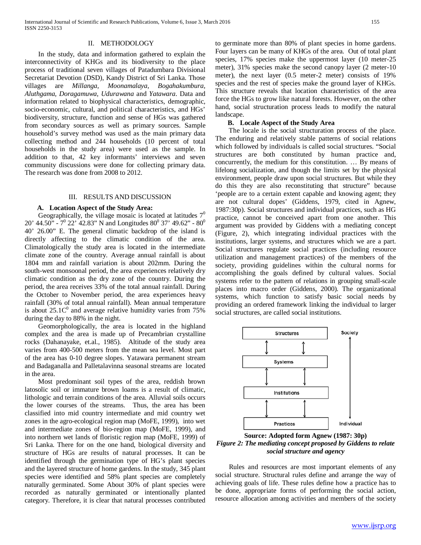#### II. METHODOLOGY

 In the study, data and information gathered to explain the interconnectivity of KHGs and its biodiversity to the place process of traditional seven villages of Patadumbara Divisional Secretariat Devotion (DSD), Kandy District of Sri Lanka. Those villages are *Millanga, Moonamalaya, Bogahakumbura, Aluthgama, Doragamuwa, Udurawana* and *Yatawara*. Data and information related to biophysical characteristics, demographic, socio-economic, cultural, and political characteristics, and HGs' biodiversity, structure, function and sense of HGs was gathered from secondary sources as well as primary sources. Sample household's survey method was used as the main primary data collecting method and 244 households (10 percent of total households in the study area) were used as the sample. In addition to that, 42 key informants' interviews and seven community discussions were done for collecting primary data. The research was done from 2008 to 2012.

# III. RESULTS AND DISCUSSION

#### **A. Location Aspect of the Study Area:**

Geographically, the village mosaic is located at latitudes  $7<sup>0</sup>$ 20' 44.50" -  $7^{\circ}$  22' 42.83" N and Longitudes  $80^{\circ}$  37' 49.62" -  $80^{\circ}$ 40' 26.00" E. The general climatic backdrop of the island is directly affecting to the climatic condition of the area. Climatologically the study area is located in the intermediate climate zone of the country. Average annual rainfall is about 1804 mm and rainfall variation is about 202mm. During the south-west monsoonal period, the area experiences relatively dry climatic condition as the dry zone of the country. During the period, the area receives 33% of the total annual rainfall. During the October to November period, the area experiences heavy rainfall (30% of total annual rainfall). Mean annual temperature is about  $25.1C<sup>0</sup>$  and average relative humidity varies from 75% during the day to 88% in the night.

 Geomorphologically, the area is located in the highland complex and the area is made up of Precambrian crystalline rocks (Dahanayake, et.al., 1985). Altitude of the study area varies from 400-500 meters from the mean sea level. Most part of the area has 0-10 degree slopes. Yatawara permanent stream and Badaganalla and Palletalavinna seasonal streams are located in the area.

 Most predominant soil types of the area, reddish brown latosolic soil or immature brown loams is a result of climatic, lithologic and terrain conditions of the area. Alluvial soils occurs the lower courses of the streams. Thus, the area has been classified into mid country intermediate and mid country wet zones in the agro-ecological region map (MoFE, 1999), into wet and intermediate zones of bio-region map (MoFE, 1999), and into northern wet lands of floristic region map (MoFE, 1999) of Sri Lanka. There for on the one hand, biological diversity and structure of HGs are results of natural processes. It can be identified through the germination type of HG's plant species and the layered structure of home gardens. In the study, 345 plant species were identified and 58% plant species are completely naturally germinated. Some About 30% of plant species were recorded as naturally germinated or intentionally planted category. Therefore, it is clear that natural processes contributed to germinate more than 80% of plant species in home gardens. Four layers can be many of KHGs of the area. Out of total plant species, 17% species make the uppermost layer (10 meter-25 meter), 31% species make the second canopy layer (2 meter-10 meter), the next layer (0.5 meter-2 meter) consists of 19% species and the rest of species make the ground layer of KHGs. This structure reveals that location characteristics of the area force the HGs to grow like natural forests. However, on the other hand, social structuration process leads to modify the natural landscape.

# **B. Locale Aspect of the Study Area**

 The locale is the social structuration process of the place. The enduring and relatively stable patterns of social relations which followed by individuals is called social structures. "Social structures are both constituted by human practice and, concurrently, the medium for this constitution. … By means of lifelong socialization, and though the limits set by the physical environment, people draw upon social structures. But while they do this they are also reconstituting that structure" because 'people are to a certain extent capable and knowing agent; they are not cultural dopes' (Giddens, 1979, cited in Agnew, 1987:30p). Social structures and individual practices, such as HG practice, cannot be conceived apart from one another. This argument was provided by Giddens with a mediating concept (Figure, 2), which integrating individual practices with the institutions, larger systems, and structures which we are a part. Social structures regulate social practices (including resource utilization and management practices) of the members of the society, providing guidelines within the cultural norms for accomplishing the goals defined by cultural values. Social systems refer to the pattern of relations in grouping small-scale places into macro order (Giddens, 2000). The organizational systems, which function to satisfy basic social needs by providing an ordered framework linking the individual to larger social structures, are called social institutions.



**Source: Adopted form Agnew (1987: 30p)** *Figure 2: The mediating concept proposed by Giddens to relate social structure and agency*

 Rules and resources are most important elements of any social structure. Structural rules define and arrange the way of achieving goals of life. These rules define how a practice has to be done, appropriate forms of performing the social action, resource allocation among activities and members of the society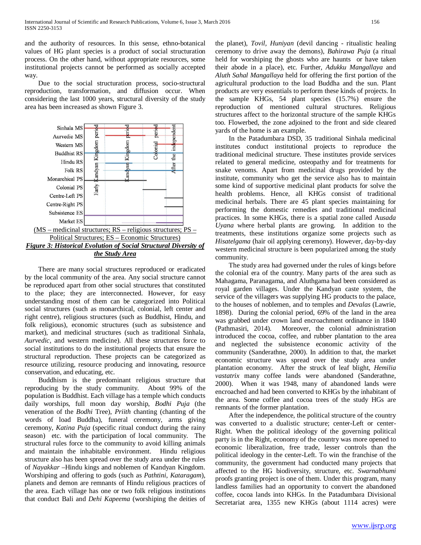and the authority of resources. In this sense, ethno-botanical values of HG plant species is a product of social structuration process. On the other hand, without appropriate resources, some institutional projects cannot be performed as socially accepted way.

 Due to the social structuration process, socio-structural reproduction, transformation, and diffusion occur. When considering the last 1000 years, structural diversity of the study area has been increased as shown Figure 3.



 There are many social structures reproduced or eradicated by the local community of the area. Any social structure cannot be reproduced apart from other social structures that constituted to the place; they are interconnected. However, for easy understanding most of them can be categorized into Political social structures (such as monarchical, colonial, left center and right centre), religious structures (such as Buddhist, Hindu, and folk religious), economic structures (such as subsistence and market), and medicinal structures (such as traditional Sinhala, *Aurvedic*, and western medicine). All these structures force to social institutions to do the institutional projects that ensure the structural reproduction. These projects can be categorized as resource utilizing, resource producing and innovating, resource conservation, and educating, etc.

 Buddhism is the predominant religious structure that reproducing by the study community. About 99% of the population is Buddhist. Each village has a temple which conducts daily worships, full moon day worship, *Bodhi Puja* (the veneration of the *Bodhi* Tree), *Priith* chanting (chanting of the words of load Buddha), funeral ceremony, arms giving ceremony, *Katina Puja* (specific ritual conduct during the rainy season) etc. with the participation of local community. The structural rules force to the community to avoid killing animals and maintain the inhabitable environment. Hindu religious structure also has been spread over the study area under the rules of *Nayakkar* –Hindu kings and noblemen of Kandyan Kingdom. Worshiping and offering to gods (such as *Pathtini*, *Kataragam*), planets and demon are remnants of Hindu religious practices of the area. Each village has one or two folk religious institutions that conduct Bali and *Dehi Kapeema* (worshiping the deities of the planet), *Tovil, Huniyan* (devil dancing - ritualistic healing ceremony to drive away the demons), *Bahirawa Puja* (a ritual held for worshiping the ghosts who are haunts or have taken their abode in a place), etc. Further, *Adukku Mangallaya* and *Aluth Sahal Mangallaya* held for offering the first portion of the agricultural production to the load Buddha and the sun. Plant products are very essentials to perform these kinds of projects. In the sample KHGs, 54 plant species (15.7%) ensure the reproduction of mentioned cultural structures. Religious structures affect to the horizontal structure of the sample KHGs too. Flowerbed, the zone adjoined to the front and side cleared yards of the home is an example.

 In the Patadumbara DSD, 35 traditional Sinhala medicinal institutes conduct institutional projects to reproduce the traditional medicinal structure. These institutes provide services related to general medicine, osteopathy and for treatments for snake venoms. Apart from medicinal drugs provided by the institute, community who get the service also has to maintain some kind of supportive medicinal plant products for solve the health problems. Hence, all KHGs consist of traditional medicinal herbals. There are 45 plant species maintaining for performing the domestic remedies and traditional medicinal practices. In some KHGs, there is a spatial zone called Au*sada Uyana* where herbal plants are growing. In addition to the treatments, these institutions organize some projects such as *Hisatelgama* (hair oil applying ceremony). However, day-by-day western medicinal structure is been popularized among the study community.

 The study area had governed under the rules of kings before the colonial era of the country. Many parts of the area such as Mahagama, Paranagama, and Aluthgama had been considered as royal garden villages. Under the Kandyan caste system, the service of the villagers was supplying HG products to the palace, to the houses of noblemen, and to temples and *Devalas* (Lawrie, 1898). During the colonial period, 69% of the land in the area was grabbed under crown land encroachment ordinance in 1840 (Pathmasiri, 2014). Moreover, the colonial administration introduced the cocoa, coffee, and rubber plantation to the area and neglected the subsistence economic activity of the community (Sanderathne, 2000). In addition to that, the market economic structure was spread over the study area under plantation economy. After the struck of leaf blight, *Hemilia vastatrix* many coffee lands were abandoned (Sanderathne, 2000). When it was 1948, many of abandoned lands were encroached and had been converted to KHGs by the inhabitant of the area. Some coffee and cocoa trees of the study HGs are remnants of the former plantation.

 After the independence, the political structure of the country was converted to a dualistic structure; center-Left or center-Right. When the political ideology of the governing political party is in the Right, economy of the country was more opened to economic liberalization, free trade, lesser controls than the political ideology in the center-Left. To win the franchise of the community, the government had conducted many projects that affected to the HG biodiversity, structure, etc. *Swarnabhumi* proofs granting project is one of them. Under this program, many landless families had an opportunity to convert the abandoned coffee, cocoa lands into KHGs. In the Patadumbara Divisional Secretariat area, 1355 new KHGs (about 1114 acres) were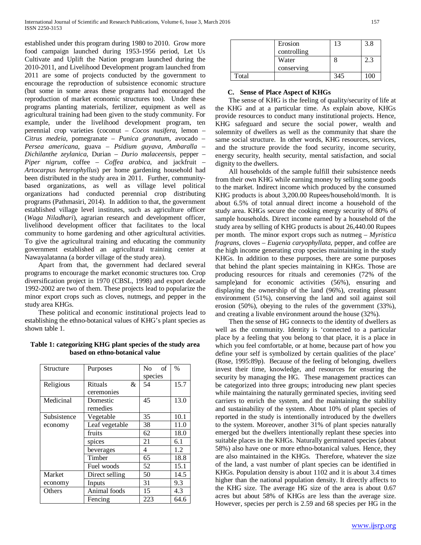established under this program during 1980 to 2010. Grow more food campaign launched during 1953-1956 period, Let Us Cultivate and Uplift the Nation program launched during the 2010-2011, and Livelihood Development program launched from 2011 are some of projects conducted by the government to encourage the reproduction of subsistence economic structure (but some in some areas these programs had encouraged the reproduction of market economic structures too). Under these programs planting materials, fertilizer, equipment as well as agricultural training had been given to the study community. For example, under the livelihood development program, ten perennial crop varieties (coconut – *Cocos nusifera*, lemon – *Citrus medeia*, pomegranate – *Punica granatum*, avocado – *Persea americana*, guava – *Psidium guyava*, *Ambaralla – Dichilanthe zeylanica*, Durian – *Durio malaceensis*, pepper – *Piper nigrum*, coffee – *Coffea arabica*, and jackfruit – *Artocarpus heterophyllus*) per home gardening household had been distributed in the study area in 2011. Further, communitybased organizations, as well as village level political organizations had conducted perennial crop distributing programs (Pathmasiri, 2014). In addition to that, the government established village level institutes, such as agriculture officer (*Waga Niladhari*), agrarian research and development officer, livelihood development officer that facilitates to the local community to home gardening and other agricultural activities. To give the agricultural training and educating the community government established an agricultural training center at Nawayalatanna (a border village of the study area).

 Apart from that, the government had declared several programs to encourage the market economic structures too. Crop diversification project in 1970 (CBSL, 1998) and export decade 1992-2002 are two of them. These projects lead to popularize the minor export crops such as cloves, nutmegs, and pepper in the study area KHGs.

 These political and economic institutional projects lead to establishing the ethno-botanical values of KHG's plant species as shown table 1.

| Table 1: categorizing KHG plant species of the study area |
|-----------------------------------------------------------|
| based on ethno-botanical value                            |

| Structure     | Purposes            | N <sub>0</sub><br>of | $\frac{0}{0}$ |
|---------------|---------------------|----------------------|---------------|
|               |                     | species              |               |
| Religious     | <b>Rituals</b><br>& | 54                   | 15.7          |
|               | ceremonies          |                      |               |
| Medicinal     | Domestic            | 45                   | 13.0          |
|               | remedies            |                      |               |
| Subsistence   | Vegetable           | 35                   | 10.1          |
| economy       | Leaf vegetable      | 38                   | 11.0          |
|               | fruits              | 62                   | 18.0          |
|               | spices              | 21                   | 6.1           |
|               | beverages           | 4                    | 1.2           |
|               | Timber              | 65                   | 18.8          |
|               | Fuel woods          | 52                   | 15.1          |
| <b>Market</b> | Direct selling      | 50                   | 14.5          |
| economy       | Inputs              | 31                   | 9.3           |
| Others        | Animal foods        | 15                   | 4.3           |
|               | Fencing             | 223                  | 64.6          |

|       | Erosion<br>controlling | 13  | 3.8 |
|-------|------------------------|-----|-----|
|       | Water                  |     | 2.3 |
|       | conserving             |     |     |
| Total |                        | 345 |     |

#### **C. Sense of Place Aspect of KHGs**

 The sense of KHG is the feeling of quality/security of life at the KHG and at a particular time. As explain above, KHGs provide resources to conduct many institutional projects. Hence, KHG safeguard and secure the social power, wealth and solemnity of dwellers as well as the community that share the same social structure. In other words, KHG resources, services, and the structure provide the food security, income security, energy security, health security, mental satisfaction, and social dignity to the dwellers.

 All households of the sample fulfill their subsistence needs from their own KHG while earning money by selling some goods to the market. Indirect income which produced by the consumed KHG products is about 3,200.00 Rupees/household/month. It is about 6.5% of total annual direct income a household of the study area. KHGs secure the cooking energy security of 80% of sample households. Direct income earned by a household of the study area by selling of KHG products is about 26,440.00 Rupees per month. The minor export crops such as nutmeg – *Myristica fragrans*, cloves – *Eugenia caryophyllata*, pepper, and coffee are the high income generating crop species maintaining in the study KHGs. In addition to these purposes, there are some purposes that behind the plant species maintaining in KHGs. Those are producing resources for rituals and ceremonies (72% of the sample)and for economic activities (56%), ensuring and displaying the ownership of the land (96%), creating pleasant environment (51%), conserving the land and soil against soil erosion (50%), obeying to the rules of the government (33%), and creating a livable environment around the house (32%).

 Then the sense of HG connects to the identity of dwellers as well as the community. Identity is 'connected to a particular place by a feeling that you belong to that place, it is a place in which you feel comfortable, or at home, because part of how you define your self is symbolized by certain qualities of the place' (Rose, 1995:89p). Because of the feeling of belonging, dwellers invest their time, knowledge, and resources for ensuring the security by managing the HG. These management practices can be categorized into three groups; introducing new plant species while maintaining the naturally germinated species, inviting seed carriers to enrich the system, and the maintaining the stability and sustainability of the system. About 10% of plant species of reported in the study is intentionally introduced by the dwellers to the system. Moreover, another 31% of plant species naturally emerged but the dwellers intentionally replant these species into suitable places in the KHGs. Naturally germinated species (about 58%) also have one or more ethno-botanical values. Hence, they are also maintained in the KHGs. Therefore, whatever the size of the land, a vast number of plant species can be identified in KHGs. Population density is about 1102 and it is about 3.4 times higher than the national population density. It directly affects to the KHG size. The average HG size of the area is about 0.67 acres but about 58% of KHGs are less than the average size. However, species per perch is 2.59 and 68 species per HG in the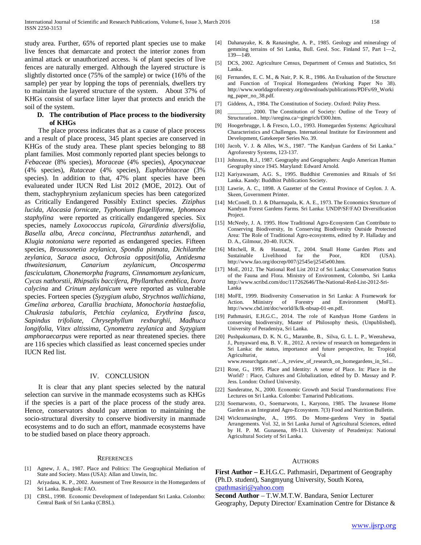study area. Further, 65% of reported plant species use to make live fences that demarcate and protect the interior zones from animal attack or unauthorized access. ¾ of plant species of live fences are naturally emerged. Although the layered structure is slightly distorted once (75% of the sample) or twice (16% of the sample) per year by lopping the tops of perennials, dwellers try to maintain the layered structure of the system. About 37% of KHGs consist of surface litter layer that protects and enrich the soil of the system.

## **D. The contribution of Place process to the biodiversity of KHGs**

 The place process indicates that as a cause of place process and a result of place process, 345 plant species are conserved in KHGs of the study area. These plant species belonging to 88 plant families. Most commonly reported plant species belongs to *Febaceae* (8% species), *Moraceae* (4% species), *Apocynaceae* (4% species), *Rutaceae* (4% species), *Euphorbitaceae* (3% species). In addition to that, 47% plant species have been evalueated under IUCN Red List 2012 (MOE, 2012). Out of them, stachyphrynium zeylanicum species has been categorized as Critically Endangered Possibly Extinct species. *Ziziphus lucida, Alocasia fornicate, Typhonium flagelliforme, Iphomoea staphylina* were reported as critically endangered species. Six species, namely *Loxococcus rupicola, Girardinia diversifolia, Basella alba, Areca concinna, Plectranthus zatarhendi*, and *Klugia notoniana were* reported as endangered species. Fifteen species, *Broussonetia zeylanica*, *Spondia pinnata, Dichilanthe zeylanica*, *Saraca asoca*, *Ochrosia oppositifolia*, *Antidesma thwaitesianum*, *Canarium zeylanicum*, *Oncosperma fasciculatum*, *Chonemorpha fragrans*, *Cinnamomum zeylanicum*, *Cycas nathorstii*, *Rhipsalis baccifera, Phyllanthus emblica*, *Ixora calycina* and *Crinum zeylanicum* were reported as vulnerable species. Forteen species (*Syzygium alubo*, *Strychnos wallichiana*, *Gmelina arborea*, *Carallia brachiata*, *Monochoria hastaefolia*, *Chukrasia tabularis*, *Petchia ceylanica*, *Erythrina fusca*, *Sapindus trifoliate*, *Chrysephyllum rexburghii*, *Madhuca longifolia*, *Vitex altissima*, *Cynometra zeylanica* and *Syzygium amphoraecarpus* were reported as near threatened species. there are 116 species which classified as least concerned species under IUCN Red list.

#### IV. CONCLUSION

 It is clear that any plant species selected by the natural selection can survive in the manmade ecosystems such as KHGs if the species is a part of the place process of the study area. Hence, conservators should pay attention to maintaining the socio-structural diversity to conserve biodiversity in manmade ecosystems and to do such an effort, manmade ecosystems have to be studied based on place theory approach.

#### **REFERENCES**

- [1] Agnew, J. A., 1987. Place and Politics: The Geographical Mediation of State and Society. Mass (USA): Allan and Unwin, Inc.
- [2] Ariyadasa, K. P., 2002. Assesment of Tree Resource in the Homegardens of Sri Lanka. Bangkok: FAO.
- [3] CBSL, 1998. Economic Development of Independant Sri Lanka. Colombo: Central Bank of Sri Lanka (CBSL).
- [4] Dahanayake, K. & Ranasinghe, A. P., 1985. Geology and mineralogy of gemming terrains of Sri Lanka, Bull. Geol. Soc. Finland 57, Part 1—2, 139—149.
- [5] DCS, 2002. Agriculture Census, Department of Census and Statistics, Sri Lanka.
- [6] Fernandes, E. C. M., & Nair, P. K. R., 1986. An Evaluation of the Structure and Function of Tropical Homegardens (Working Paper No 38). http://www.worldagroforestry.org/downloads/publications/PDFs/69\_Worki ng\_paper\_no\_38.pdf.
- [7] Giddens, A., 1984. The Constitution of Society. Oxford: Polity Press.
- [8] \_\_\_\_\_\_\_\_, 2000. The Constitution of Society: Outline of the Teory of Structuration.. http://uregina.ca/~gingrich/f300.htm.
- [9] Hoogerbrugge, I. & Fresco, L.O., 1993. Homegarden Systems: Agricultural Characteristics and Challenges. International Institute for Environment and Development, Gatekeeper Series No. 39.
- [10] Jacob, V. J. & Alles, W.S., 1987. "The Kandyan Gardens of Sri Lanka." Agroforestry Systems, 123-137.
- [11] Johnston, R.J., 1987. Geography and Geographers: Anglo American Human Geography since 1945. Maryland: Edward Arnold.
- [12] Kariyawasam, A.G. S., 1995. Buddhist Ceremonies and Rituals of Sri Lanka. Kandy: Buddhist Publication Society.
- [13] Lawrie, A. C., 1898. A Gazetter of the Central Province of Ceylon. J. A. Skeen, Government Printer.
- [14] McConell, D. J. & Dharmapala, K. A. E., 1973. The Economics Structure of Kandyan Forest Gardens Farms. Sri Lanka: UNDP/SF/FAO Diversification Project.
- [15] McNeely, J. A. 1995. How Traditional Agro-Ecosystem Can Contribute to Conserving Biodiversity, In Conserving Biodiversity Outside Protected Area: The Role of Traditional Agro-ecosystems, edited by P. Halladay and D. A., Gilmour, 20-40. IUCN.
- [16] Mitchell, R. & Hanstad, T., 2004. Small Home Garden Plots and Sustainable Livelihood for the Poor, RDI (USA). http://www.fao.org/docrep/007/j2545e/j2545e00.htm.
- [17] MoE, 2012. The National Red List 2012 of Sri Lanka; Conservation Status of the Fauna and Flora. Ministry of Environment, Colombo, Sri Lanka http://www.scribd.com/doc/117262646/The-National-Red-List-2012-Sri-Lanka
- [18] MoFE, 1999. Biodiversity Conservation in Sri Lanka: A Framework for Action. Miinistry of Forestry and Environment (MoFE). http://www.cbd.int/doc/world/lk/lk-nbsap-01-en.pdf.
- [19] Pathmasiri, E.H.G.C., 2014. The role of Kandyan Home Gardens in conserving biodiversity, Master of Philosophy thesis, (Unpublished), University of Peradeniya, Sri Lanka.
- [20] Pushpakumara, D. K. N. G., Marambe, B., Silva, G. L. L. P., Weerahewa, J., Punyaward ena, B. V. R., 2012. A review of research on homegardens in Sri Lanka: the status, importance and future perspective, In: Tropical Agriculturist, Vol 160, www.researchgate.net/...A\_review\_of\_research\_on\_homegardens\_in\_Sri...
- [21] Rose, G., 1995. Place and Identity: A sense of Place. In: Place in the World? : Place, Cultures and Globalization, edited by D. Massay and P. Jess. London: Oxford University.
- [22] Sanderatne, N., 2000. Economic Growth and Social Transformations: Five Lectures on Sri Lanka. Colombo: Tamarind Publications.
- [23] Soemarwoto, O., Soemarwoto, I., Karyono, 1985. The Javanese Home Garden as an Integrated Agro-Ecosystem. 7(3) Food and Nutrition Bulletin.
- [24] Wickramasinghe, A., 1995. Do Mome-gardens Very in Spatial Arrangements. Vol. 32, in Sri Lanka Jurnal of Agricultural Sciences, edited by H. P. M. Gunasena, 89-113. University of Peradeniya: National Agricultural Society of Sri Lanka.

# AUTHORS

**First Author – E**.H.G.C. Pathmasiri, Department of Geography (Ph.D. student), Sangmyung University, South Korea, [cpathmasiri@yahoo.com](mailto:cpathmasiri@yahoo.com)

**Second Author** – T.W.M.T.W. Bandara, Senior Lecturer Geography, Deputy Director/ Examination Centre for Distance &